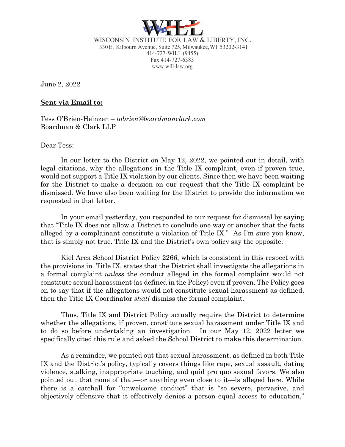

WISCONSIN INSTITUTE FOR LAW & LIBERTY, INC. 330E. Kilbourn Avenue, Suite 725, Milwaukee,WI 53202-3141 414-727-WILL (9455) Fax 414-727-6385 www.will-law.org

June 2, 2022

## **Sent via Email to:**

Tess O'Brien-Heinzen – *tobrien@boardmanclark.com* Boardman & Clark LLP

Dear Tess:

In our letter to the District on May 12, 2022, we pointed out in detail, with legal citations, why the allegations in the Title IX complaint, even if proven true, would not support a Title IX violation by our clients. Since then we have been waiting for the District to make a decision on our request that the Title IX complaint be dismissed. We have also been waiting for the District to provide the information we requested in that letter.

In your email yesterday, you responded to our request for dismissal by saying that "Title IX does not allow a District to conclude one way or another that the facts alleged by a complainant constitute a violation of Title IX." As I'm sure you know, that is simply not true. Title IX and the District's own policy say the opposite.

Kiel Area School District Policy 2266, which is consistent in this respect with the provisions in Title IX, states that the District shall investigate the allegations in a formal complaint *unless* the conduct alleged in the formal complaint would not constitute sexual harassment (as defined in the Policy) even if proven. The Policy goes on to say that if the allegations would not constitute sexual harassment as defined, then the Title IX Coordinator *shall* dismiss the formal complaint.

Thus, Title IX and District Policy actually require the District to determine whether the allegations, if proven, constitute sexual harassment under Title IX and to do so before undertaking an investigation. In our May 12, 2022 letter we specifically cited this rule and asked the School District to make this determination.

As a reminder, we pointed out that sexual harassment, as defined in both Title IX and the District's policy, typically covers things like rape, sexual assault, dating violence, stalking, inappropriate touching, and quid pro quo sexual favors. We also pointed out that none of that—or anything even close to it—is alleged here. While there is a catchall for "unwelcome conduct" that is "so severe, pervasive, and objectively offensive that it effectively denies a person equal access to education,"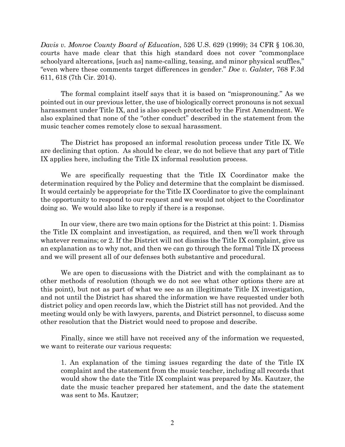*Davis v. Monroe County Board of Education*, 526 U.S. 629 (1999); 34 CFR § 106.30, courts have made clear that this high standard does not cover "commonplace schoolyard altercations, [such as] name-calling, teasing, and minor physical scuffles," "even where these comments target differences in gender." *Doe v. Galster*, 768 F.3d 611, 618 (7th Cir. 2014).

The formal complaint itself says that it is based on "mispronouning." As we pointed out in our previous letter, the use of biologically correct pronouns is not sexual harassment under Title IX, and is also speech protected by the First Amendment. We also explained that none of the "other conduct" described in the statement from the music teacher comes remotely close to sexual harassment.

The District has proposed an informal resolution process under Title IX. We are declining that option. As should be clear, we do not believe that any part of Title IX applies here, including the Title IX informal resolution process.

We are specifically requesting that the Title IX Coordinator make the determination required by the Policy and determine that the complaint be dismissed. It would certainly be appropriate for the Title IX Coordinator to give the complainant the opportunity to respond to our request and we would not object to the Coordinator doing so. We would also like to reply if there is a response.

In our view, there are two main options for the District at this point: 1. Dismiss the Title IX complaint and investigation, as required, and then we'll work through whatever remains; or 2. If the District will not dismiss the Title IX complaint, give us an explanation as to why not, and then we can go through the formal Title IX process and we will present all of our defenses both substantive and procedural.

We are open to discussions with the District and with the complainant as to other methods of resolution (though we do not see what other options there are at this point), but not as part of what we see as an illegitimate Title IX investigation, and not until the District has shared the information we have requested under both district policy and open records law, which the District still has not provided. And the meeting would only be with lawyers, parents, and District personnel, to discuss some other resolution that the District would need to propose and describe.

Finally, since we still have not received any of the information we requested, we want to reiterate our various requests:

1. An explanation of the timing issues regarding the date of the Title IX complaint and the statement from the music teacher, including all records that would show the date the Title IX complaint was prepared by Ms. Kautzer, the date the music teacher prepared her statement, and the date the statement was sent to Ms. Kautzer;